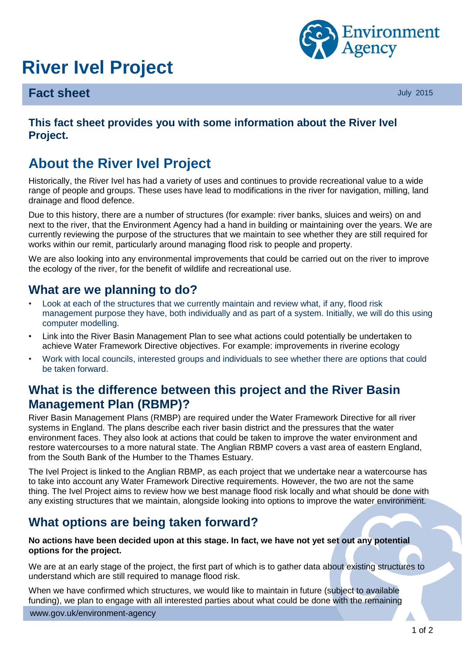# **River Ivel Project**



#### **Fact sheet** July 2015

#### **This fact sheet provides you with some information about the River Ivel Project.**

# **About the River Ivel Project**

Historically, the River Ivel has had a variety of uses and continues to provide recreational value to a wide range of people and groups. These uses have lead to modifications in the river for navigation, milling, land drainage and flood defence.

Due to this history, there are a number of structures (for example: river banks, sluices and weirs) on and next to the river, that the Environment Agency had a hand in building or maintaining over the years. We are currently reviewing the purpose of the structures that we maintain to see whether they are still required for works within our remit, particularly around managing flood risk to people and property.

We are also looking into any environmental improvements that could be carried out on the river to improve the ecology of the river, for the benefit of wildlife and recreational use.

## **What are we planning to do?**

- Look at each of the structures that we currently maintain and review what, if any, flood risk management purpose they have, both individually and as part of a system. Initially, we will do this using computer modelling.
- Link into the River Basin Management Plan to see what actions could potentially be undertaken to achieve Water Framework Directive objectives. For example: improvements in riverine ecology
- Work with local councils, interested groups and individuals to see whether there are options that could be taken forward.

# **What is the difference between this project and the River Basin Management Plan (RBMP)?**

River Basin Management Plans (RMBP) are required under the Water Framework Directive for all river systems in England. The plans describe each river basin district and the pressures that the water environment faces. They also look at actions that could be taken to improve the water environment and restore watercourses to a more natural state. The Anglian RBMP covers a vast area of eastern England, from the South Bank of the Humber to the Thames Estuary.

The Ivel Project is linked to the Anglian RBMP, as each project that we undertake near a watercourse has to take into account any Water Framework Directive requirements. However, the two are not the same thing. The Ivel Project aims to review how we best manage flood risk locally and what should be done with any existing structures that we maintain, alongside looking into options to improve the water environment.

# **What options are being taken forward?**

#### **No actions have been decided upon at this stage. In fact, we have not yet set out any potential options for the project.**

We are at an early stage of the project, the first part of which is to gather data about existing structures to understand which are still required to manage flood risk.

When we have confirmed which structures, we would like to maintain in future (subject to available funding), we plan to engage with all interested parties about what could be done with the remaining

www.gov.uk/environment-agency